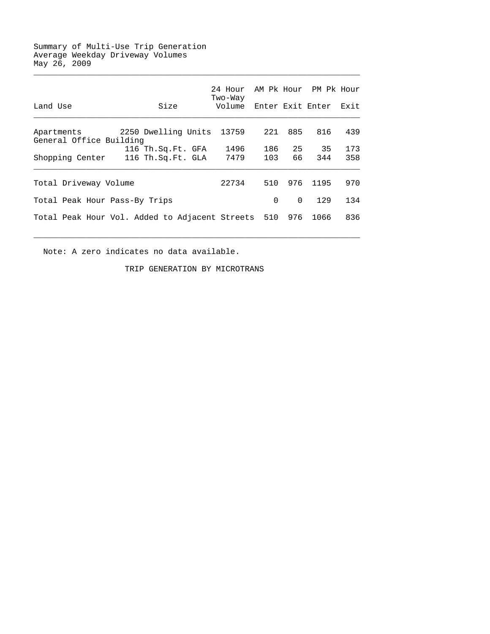## Summary of Multi-Use Trip Generation Average Weekday Driveway Volumes May 26, 2009

|                                                    |                     | 24 Hour<br>Two-Way |          |          | AM Pk Hour PM Pk Hour |      |
|----------------------------------------------------|---------------------|--------------------|----------|----------|-----------------------|------|
| Land Use                                           | Size                | Volume             |          |          | Enter Exit Enter      | Exit |
| Apartments<br>General Office Building              | 2250 Dwelling Units | 13759              | 221      | 885      | 816                   | 439  |
|                                                    | 116 Th.Sq.Ft. GFA   | 1496               | 186      | 25       | 35                    | 173  |
| Shopping Center                                    | 116 Th.Sq.Ft. GLA   | 7479               | 103      | 66       | 344                   | 358  |
| Total Driveway Volume                              |                     | 22734              | 510      | 976      | 1195                  | 970  |
| Total Peak Hour Pass-By Trips                      |                     |                    | $\Omega$ | $\Omega$ | 129                   | 134  |
| Total Peak Hour Vol. Added to Adjacent Streets 510 |                     |                    | 976      | 1066     | 836                   |      |

 $\mathcal{L}_\text{max} = \frac{1}{2} \sum_{i=1}^{n} \frac{1}{2} \sum_{i=1}^{n} \frac{1}{2} \sum_{i=1}^{n} \frac{1}{2} \sum_{i=1}^{n} \frac{1}{2} \sum_{i=1}^{n} \frac{1}{2} \sum_{i=1}^{n} \frac{1}{2} \sum_{i=1}^{n} \frac{1}{2} \sum_{i=1}^{n} \frac{1}{2} \sum_{i=1}^{n} \frac{1}{2} \sum_{i=1}^{n} \frac{1}{2} \sum_{i=1}^{n} \frac{1}{2} \sum_{i=1}^{n} \frac{1$ 

Note: A zero indicates no data available.

TRIP GENERATION BY MICROTRANS

 $\mathcal{L}_\text{max} = \frac{1}{2} \sum_{i=1}^{n} \frac{1}{2} \sum_{i=1}^{n} \frac{1}{2} \sum_{i=1}^{n} \frac{1}{2} \sum_{i=1}^{n} \frac{1}{2} \sum_{i=1}^{n} \frac{1}{2} \sum_{i=1}^{n} \frac{1}{2} \sum_{i=1}^{n} \frac{1}{2} \sum_{i=1}^{n} \frac{1}{2} \sum_{i=1}^{n} \frac{1}{2} \sum_{i=1}^{n} \frac{1}{2} \sum_{i=1}^{n} \frac{1}{2} \sum_{i=1}^{n} \frac{1$